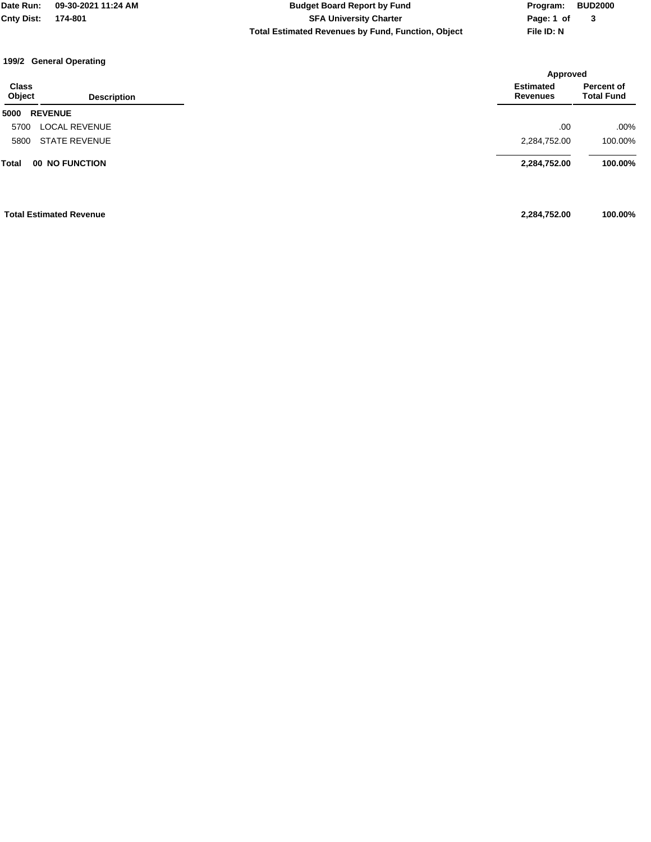**Total Estimated Revenues by Fund, Function, Object File ID: N Cnty Dist: 174-801 SFA University Charter Date Run: 09-30-2021 11:24 AM Budget Board Report by Fund Program: BUD2000**

**Page: 1 of 3**

### **199/2 General Operating**

|                                       |                      | Approved                            |                                 |
|---------------------------------------|----------------------|-------------------------------------|---------------------------------|
| <b>Class</b><br>Object                | <b>Description</b>   | <b>Estimated</b><br><b>Revenues</b> | Percent of<br><b>Total Fund</b> |
| <b>REVENUE</b><br>5000                |                      |                                     |                                 |
| 5700                                  | <b>LOCAL REVENUE</b> | .00                                 | $.00\%$                         |
| 5800                                  | <b>STATE REVENUE</b> | 2,284,752.00                        | 100.00%                         |
| <b>Total</b><br><b>00 NO FUNCTION</b> |                      | 2,284,752.00                        | 100.00%                         |
| <b>Total Estimated Revenue</b>        |                      | 2,284,752.00                        | 100.00%                         |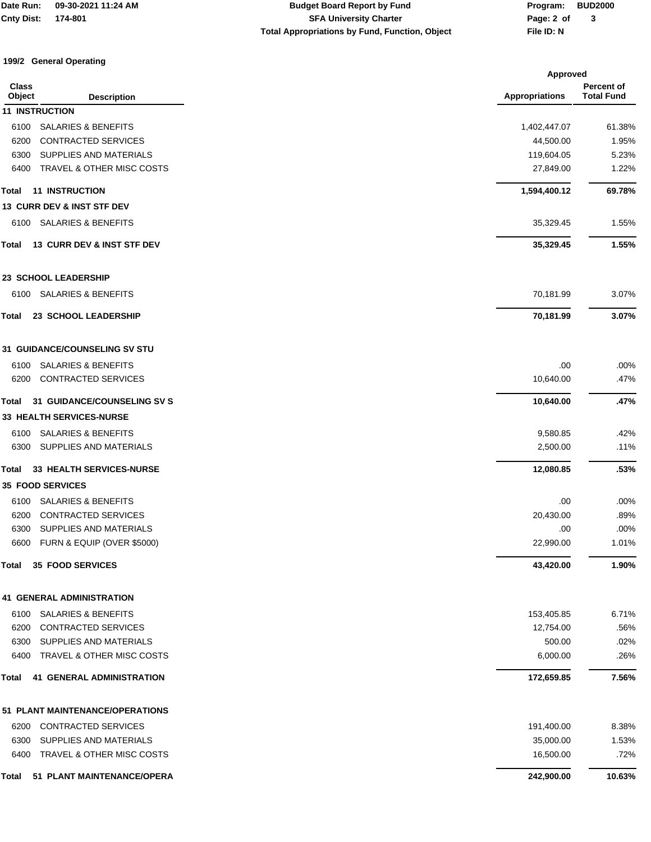# **Total Appropriations by Fund, Function, Object File ID: N Cnty Dist: 174-801 SFA University Charter Date Run: 09-30-2021 11:24 AM Budget Board Report by Fund Program: BUD2000**

**Page: 2 of 3**

### **199/2 General Operating**

|                        |                                       |                       | <b>Approved</b>                 |  |
|------------------------|---------------------------------------|-----------------------|---------------------------------|--|
| <b>Class</b><br>Object | <b>Description</b>                    | <b>Appropriations</b> | Percent of<br><b>Total Fund</b> |  |
|                        | <b>11 INSTRUCTION</b>                 |                       |                                 |  |
| 6100                   | <b>SALARIES &amp; BENEFITS</b>        | 1,402,447.07          | 61.38%                          |  |
| 6200                   | <b>CONTRACTED SERVICES</b>            | 44,500.00             | 1.95%                           |  |
| 6300                   | SUPPLIES AND MATERIALS                | 119,604.05            | 5.23%                           |  |
| 6400                   | TRAVEL & OTHER MISC COSTS             | 27,849.00             | 1.22%                           |  |
| Total                  | <b>11 INSTRUCTION</b>                 | 1,594,400.12          | 69.78%                          |  |
|                        | <b>13 CURR DEV &amp; INST STF DEV</b> |                       |                                 |  |
| 6100                   | <b>SALARIES &amp; BENEFITS</b>        | 35,329.45             | 1.55%                           |  |
| Total                  | 13 CURR DEV & INST STF DEV            | 35,329.45             | 1.55%                           |  |
|                        | <b>23 SCHOOL LEADERSHIP</b>           |                       |                                 |  |
| 6100                   | <b>SALARIES &amp; BENEFITS</b>        | 70,181.99             | 3.07%                           |  |
| Total                  | 23 SCHOOL LEADERSHIP                  | 70,181.99             | 3.07%                           |  |
|                        | <b>31 GUIDANCE/COUNSELING SV STU</b>  |                       |                                 |  |
| 6100                   | <b>SALARIES &amp; BENEFITS</b>        | .00                   | .00%                            |  |
| 6200                   | CONTRACTED SERVICES                   | 10,640.00             | .47%                            |  |
| Total                  | <b>31 GUIDANCE/COUNSELING SV S</b>    | 10,640.00             | .47%                            |  |
|                        | <b>33 HEALTH SERVICES-NURSE</b>       |                       |                                 |  |
| 6100                   | <b>SALARIES &amp; BENEFITS</b>        | 9,580.85              | .42%                            |  |
| 6300                   | SUPPLIES AND MATERIALS                | 2,500.00              | .11%                            |  |
| Total                  | 33 HEALTH SERVICES-NURSE              | 12,080.85             | .53%                            |  |
|                        | <b>35 FOOD SERVICES</b>               |                       |                                 |  |
| 6100                   | <b>SALARIES &amp; BENEFITS</b>        | .00                   | .00%                            |  |
| 6200                   | <b>CONTRACTED SERVICES</b>            | 20,430.00             | .89%                            |  |
| 6300                   | SUPPLIES AND MATERIALS                | .00                   | .00%                            |  |
| 6600                   | FURN & EQUIP (OVER \$5000)            | 22,990.00             | 1.01%                           |  |
| Total                  | <b>35 FOOD SERVICES</b>               | 43,420.00             | 1.90%                           |  |
|                        | <b>41 GENERAL ADMINISTRATION</b>      |                       |                                 |  |
| 6100                   | <b>SALARIES &amp; BENEFITS</b>        | 153,405.85            | 6.71%                           |  |
| 6200                   | <b>CONTRACTED SERVICES</b>            | 12,754.00             | .56%                            |  |
| 6300                   | SUPPLIES AND MATERIALS                | 500.00                | .02%                            |  |
| 6400                   | TRAVEL & OTHER MISC COSTS             | 6,000.00              | .26%                            |  |
| Total                  | <b>41 GENERAL ADMINISTRATION</b>      | 172,659.85            | 7.56%                           |  |
|                        | 51 PLANT MAINTENANCE/OPERATIONS       |                       |                                 |  |
| 6200                   | <b>CONTRACTED SERVICES</b>            | 191,400.00            | 8.38%                           |  |
| 6300                   | SUPPLIES AND MATERIALS                | 35,000.00             | 1.53%                           |  |
| 6400                   | TRAVEL & OTHER MISC COSTS             | 16,500.00             | .72%                            |  |
| Total                  | 51 PLANT MAINTENANCE/OPERA            | 242,900.00            | 10.63%                          |  |